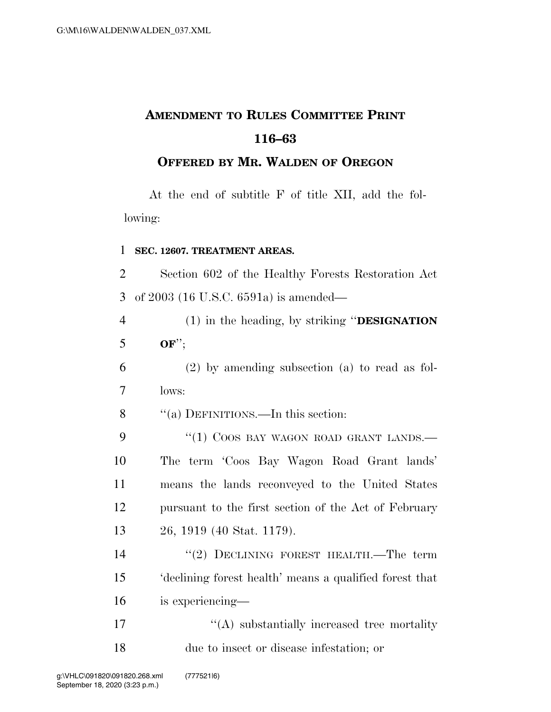## **AMENDMENT TO RULES COMMITTEE PRINT 116–63**

## **OFFERED BY MR. WALDEN OF OREGON**

At the end of subtitle F of title XII, add the following:

## 1 **SEC. 12607. TREATMENT AREAS.**

2 Section 602 of the Healthy Forests Restoration Act 3 of 2003 (16 U.S.C. 6591a) is amended—

4 (1) in the heading, by striking ''**DESIGNATION** 5 **OF**'';

6 (2) by amending subsection (a) to read as fol-7 lows:

8 ''(a) DEFINITIONS.—In this section:

9 "(1) COOS BAY WAGON ROAD GRANT LANDS. The term 'Coos Bay Wagon Road Grant lands' means the lands reconveyed to the United States pursuant to the first section of the Act of February 26, 1919 (40 Stat. 1179).

14 "(2) DECLINING FOREST HEALTH.—The term 15 'declining forest health' means a qualified forest that 16 is experiencing—

17  $\langle (A)$  substantially increased tree mortality 18 due to insect or disease infestation; or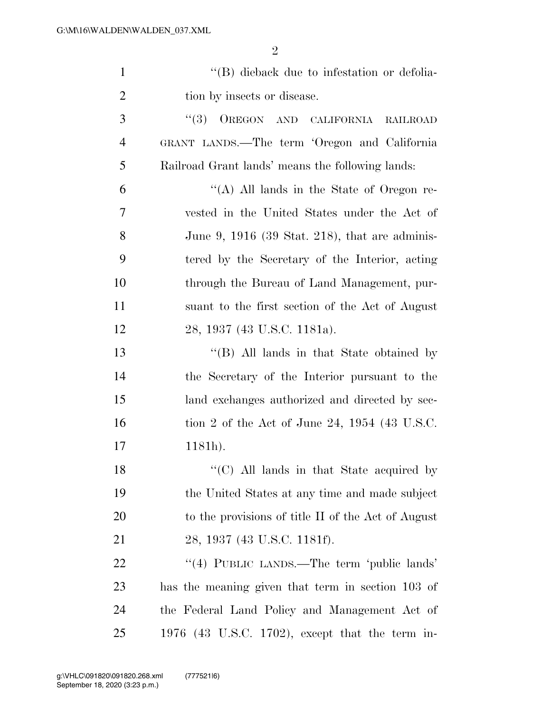| $\mathbf{1}$   | "(B) dieback due to infestation or defolia-        |
|----------------|----------------------------------------------------|
| $\overline{2}$ | tion by insects or disease.                        |
| 3              | (3)<br>OREGON AND CALIFORNIA<br><b>RAILROAD</b>    |
| $\overline{4}$ | GRANT LANDS.—The term 'Oregon and California       |
| 5              | Railroad Grant lands' means the following lands:   |
| 6              | "(A) All lands in the State of Oregon re-          |
| 7              | vested in the United States under the Act of       |
| 8              | June 9, 1916 (39 Stat. 218), that are adminis-     |
| 9              | tered by the Secretary of the Interior, acting     |
| 10             | through the Bureau of Land Management, pur-        |
| 11             | suant to the first section of the Act of August    |
| 12             | 28, 1937 (43 U.S.C. 1181a).                        |
| 13             | $\lq\lq$ (B) All lands in that State obtained by   |
| 14             | the Secretary of the Interior pursuant to the      |
| 15             | land exchanges authorized and directed by sec-     |
| 16             | tion 2 of the Act of June 24, $1954$ (43 U.S.C.    |
| 17             | $1181h$ ).                                         |
| 18             | "(C) All lands in that State acquired by           |
| 19             | the United States at any time and made subject     |
| 20             | to the provisions of title II of the Act of August |
| 21             | 28, 1937 (43 U.S.C. 1181f).                        |
| 22             | "(4) PUBLIC LANDS.—The term 'public lands'         |
| 23             | has the meaning given that term in section 103 of  |
| 24             | the Federal Land Policy and Management Act of      |
| 25             | 1976 (43 U.S.C. 1702), except that the term in-    |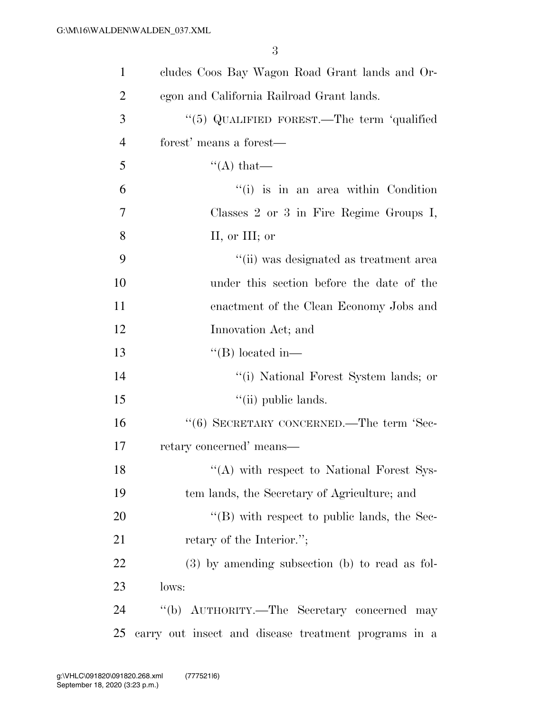| $\mathbf{1}$   | cludes Coos Bay Wagon Road Grant lands and Or-       |
|----------------|------------------------------------------------------|
| $\overline{2}$ | egon and California Railroad Grant lands.            |
| 3              | "(5) QUALIFIED FOREST.—The term 'qualified           |
| $\overline{4}$ | forest' means a forest—                              |
| 5              | $\lq\lq$ that —                                      |
| 6              | "(i) is in an area within Condition                  |
| 7              | Classes 2 or 3 in Fire Regime Groups I,              |
| 8              | II, or III; or                                       |
| 9              | "(ii) was designated as treatment area               |
| 10             | under this section before the date of the            |
| 11             | enactment of the Clean Economy Jobs and              |
| 12             | Innovation Act; and                                  |
| 13             | $\lq$ (B) located in-                                |
| 14             | "(i) National Forest System lands; or                |
| 15             | "(ii) public lands.                                  |
| 16             | $``(6)$ SECRETARY CONCERNED.—The term 'Sec-          |
| 17             | retary concerned' means—                             |
| 18             | $\lq\lq$ with respect to National Forest Sys-        |
| 19             | tem lands, the Secretary of Agriculture; and         |
| 20             | $\lq\lq$ (B) with respect to public lands, the Sec-  |
| 21             | retary of the Interior.";                            |
| 22             | $(3)$ by amending subsection (b) to read as fol-     |
| 23             | lows:                                                |
| 24             | "(b) AUTHORITY.—The Secretary concerned may          |
| 25             | carry out insect and disease treatment programs in a |